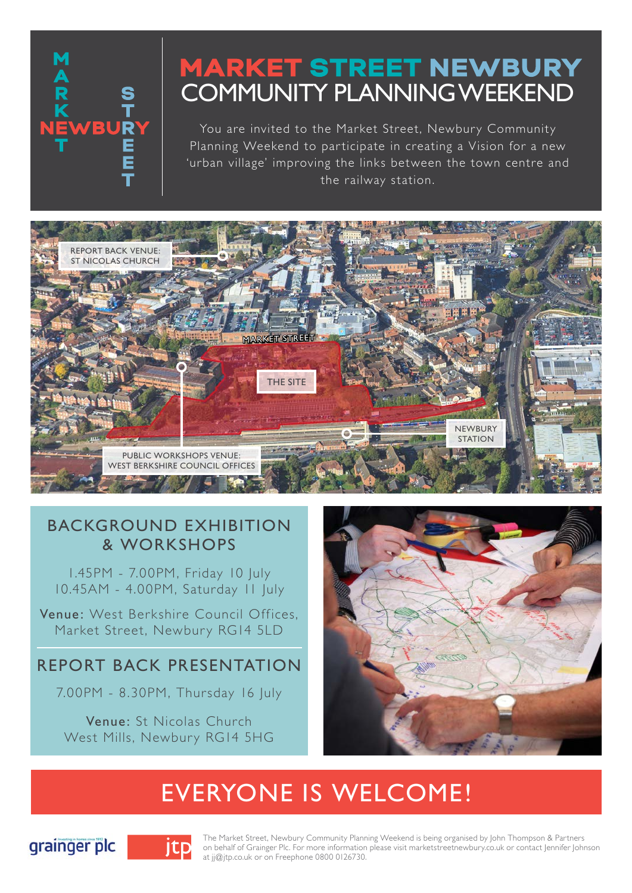

# **MARKET STREET NEWBURY** COMMUNITY PLANNING WEEKEND

You are invited to the Market Street, Newbury Community Planning Weekend to participate in creating a Vision for a new 'urban village' improving the links between the town centre and the railway station.



## BACKGROUND EXHIBITION & WORKSHOPS

1.45PM - 7.00PM, Friday 10 July 10.45AM - 4.00PM, Saturday 11 July

Venue: West Berkshire Council Offices, Market Street, Newbury RG14 5LD

## REPORT BACK PRESENTATION

7.00PM - 8.30PM, Thursday 16 July

Venue: St Nicolas Church West Mills, Newbury RG14 5HG



# EVERYONE IS WELCOME!





The Market Street, Newbury Community Planning Weekend is being organised by John Thompson & Partners on behalf of Grainger Plc. For more information please visit marketstreetnewbury.co.uk or contact Jennifer Johnson at jj@jtp.co.uk or on Freephone 0800 0126730.